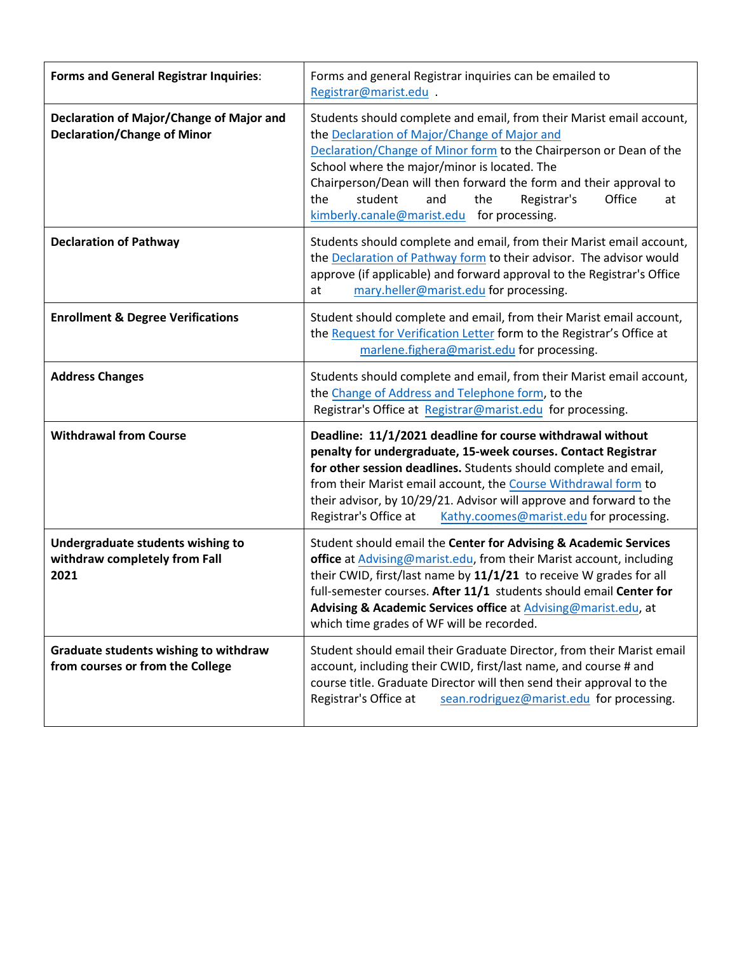| <b>Forms and General Registrar Inquiries:</b>                                  | Forms and general Registrar inquiries can be emailed to<br>Registrar@marist.edu .                                                                                                                                                                                                                                                                                                                                            |
|--------------------------------------------------------------------------------|------------------------------------------------------------------------------------------------------------------------------------------------------------------------------------------------------------------------------------------------------------------------------------------------------------------------------------------------------------------------------------------------------------------------------|
| Declaration of Major/Change of Major and<br><b>Declaration/Change of Minor</b> | Students should complete and email, from their Marist email account,<br>the Declaration of Major/Change of Major and<br>Declaration/Change of Minor form to the Chairperson or Dean of the<br>School where the major/minor is located. The<br>Chairperson/Dean will then forward the form and their approval to<br>student<br>Registrar's<br>the<br>and<br>the<br>Office<br>at<br>kimberly.canale@marist.edu for processing. |
| <b>Declaration of Pathway</b>                                                  | Students should complete and email, from their Marist email account,<br>the Declaration of Pathway form to their advisor. The advisor would<br>approve (if applicable) and forward approval to the Registrar's Office<br>mary.heller@marist.edu for processing.<br>at                                                                                                                                                        |
| <b>Enrollment &amp; Degree Verifications</b>                                   | Student should complete and email, from their Marist email account,<br>the Request for Verification Letter form to the Registrar's Office at<br>marlene.fighera@marist.edu for processing.                                                                                                                                                                                                                                   |
| <b>Address Changes</b>                                                         | Students should complete and email, from their Marist email account,<br>the Change of Address and Telephone form, to the<br>Registrar's Office at Registrar@marist.edu for processing.                                                                                                                                                                                                                                       |
| <b>Withdrawal from Course</b>                                                  | Deadline: 11/1/2021 deadline for course withdrawal without<br>penalty for undergraduate, 15-week courses. Contact Registrar<br>for other session deadlines. Students should complete and email,<br>from their Marist email account, the Course Withdrawal form to<br>their advisor, by 10/29/21. Advisor will approve and forward to the<br>Registrar's Office at<br>Kathy.coomes@marist.edu for processing.                 |
| Undergraduate students wishing to<br>withdraw completely from Fall<br>2021     | Student should email the Center for Advising & Academic Services<br>office at Advising@marist.edu, from their Marist account, including<br>their CWID, first/last name by 11/1/21 to receive W grades for all<br>full-semester courses. After 11/1 students should email Center for<br>Advising & Academic Services office at Advising@marist.edu, at<br>which time grades of WF will be recorded.                           |
| Graduate students wishing to withdraw<br>from courses or from the College      | Student should email their Graduate Director, from their Marist email<br>account, including their CWID, first/last name, and course # and<br>course title. Graduate Director will then send their approval to the<br>Registrar's Office at<br>sean.rodriguez@marist.edu for processing.                                                                                                                                      |